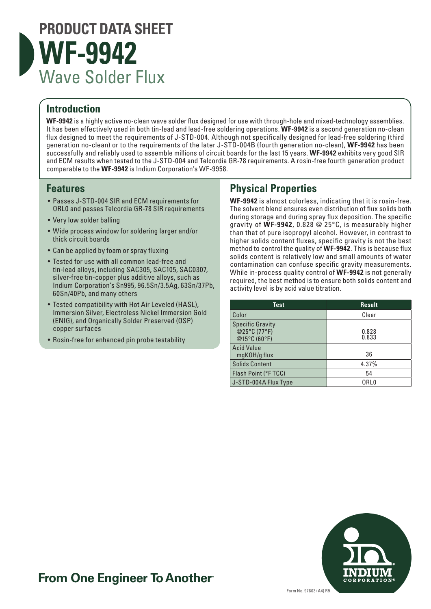

#### **Introduction**

**WF-9942** is a highly active no-clean wave solder flux designed for use with through-hole and mixed-technology assemblies. It has been effectively used in both tin-lead and lead-free soldering operations. **WF-9942** is a second generation no-clean flux designed to meet the requirements of J-STD-004. Although not specifically designed for lead-free soldering (third generation no-clean) or to the requirements of the later J-STD-004B (fourth generation no-clean), **WF-9942** has been successfully and reliably used to assemble millions of circuit boards for the last 15 years. **WF-9942** exhibits very good SIR and ECM results when tested to the J-STD-004 and Telcordia GR-78 requirements. A rosin-free fourth generation product comparable to the **WF-9942** is Indium Corporation's WF-9958.

#### **Features**

- Passes J-STD-004 SIR and ECM requirements for ORL0 and passes Telcordia GR-78 SIR requirements
- Very low solder balling
- Wide process window for soldering larger and/or thick circuit boards
- Can be applied by foam or spray fluxing
- Tested for use with all common lead-free and tin-lead alloys, including SAC305, SAC105, SAC0307, silver-free tin-copper plus additive alloys, such as Indium Corporation's Sn995, 96.5Sn/3.5Ag, 63Sn/37Pb, 60Sn/40Pb, and many others
- Tested compatibility with Hot Air Leveled (HASL), Immersion Silver, Electroless Nickel Immersion Gold (ENIG), and Organically Solder Preserved (OSP) copper surfaces
- Rosin-free for enhanced pin probe testability

#### **Physical Properties**

**WF-9942** is almost colorless, indicating that it is rosin-free. The solvent blend ensures even distribution of flux solids both during storage and during spray flux deposition. The specific gravity of **WF-9942**, 0.828 @ 25°C, is measurably higher than that of pure isopropyl alcohol. However, in contrast to higher solids content fluxes, specific gravity is not the best method to control the quality of **WF-9942**. This is because flux solids content is relatively low and small amounts of water contamination can confuse specific gravity measurements. While in-process quality control of **WF-9942** is not generally required, the best method is to ensure both solids content and activity level is by acid value titration.

| <b>Test</b>                                             | <b>Result</b>    |
|---------------------------------------------------------|------------------|
| Color                                                   | Clear            |
| <b>Specific Gravity</b><br>@25°C (77°F)<br>@15°C (60°F) | 0.828<br>0.833   |
| <b>Acid Value</b><br>mgKOH/g flux                       | 36               |
| <b>Solids Content</b>                                   | 4.37%            |
| Flash Point (°F TCC)                                    | 54               |
| J-STD-004A Flux Type                                    | ORL <sub>0</sub> |



## **From One Engineer To Another**®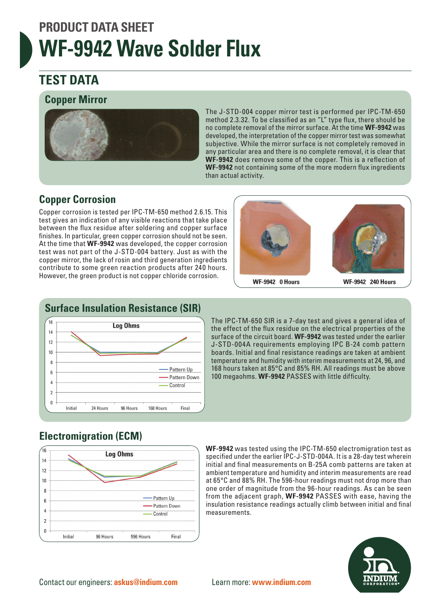# **PRODUCT DATA SHEET WF-9942 Wave Solder Flux**

## **TEST DATA**

#### **Copper Mirror**



The J-STD-004 copper mirror test is performed per IPC-TM-650 method 2.3.32. To be classified as an "L" type flux, there should be no complete removal of the mirror surface. At the time **WF-9942** was developed, the interpretation of the copper mirror test was somewhat subjective. While the mirror surface is not completely removed in any particular area and there is no complete removal, it is clear that **WF-9942** does remove some of the copper. This is a reflection of **WF-9942** not containing some of the more modern flux ingredients than actual activity.

### **Copper Corrosion**

Copper corrosion is tested per IPC-TM-650 method 2.6.15. This test gives an indication of any visible reactions that take place between the flux residue after soldering and copper surface finishes. In particular, green copper corrosion should not be seen. At the time that **WF-9942** was developed, the copper corrosion test was not part of the J-STD-004 battery. Just as with the copper mirror, the lack of rosin and third generation ingredients contribute to some green reaction products after 240 hours. However, the green product is not copper chloride corrosion.



**WF-9942 0 Hours** 

**WF-9942 240 Hours** 



The IPC-TM-650 SIR is a 7-day test and gives a general idea of the effect of the flux residue on the electrical properties of the surface of the circuit board. **WF-9942** was tested under the earlier J-STD-004A requirements employing IPC B-24 comb pattern boards. Initial and final resistance readings are taken at ambient temperature and humidity with interim measurements at 24, 96, and 168 hours taken at 85°C and 85% RH. All readings must be above 100 megaohms. **WF-9942** PASSES with little difficulty.

### **Electromigration (ECM)**



**WF-9942** was tested using the IPC-TM-650 electromigration test as specified under the earlier IPC-J-STD-004A. It is a 28-day test wherein initial and final measurements on B-25A comb patterns are taken at ambient temperature and humidity and interim measurements are read at 65°C and 88% RH. The 596-hour readings must not drop more than one order of magnitude from the 96-hour readings. As can be seen from the adjacent graph, **WF-9942** PASSES with ease, having the insulation resistance readings actually climb between initial and final measurements.

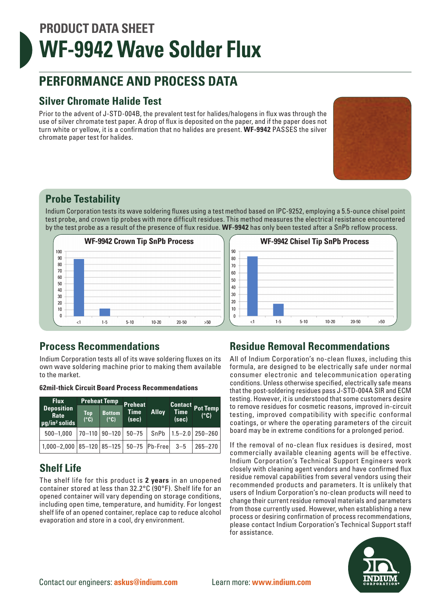# **PRODUCT DATA SHEET WF-9942 Wave Solder Flux**

## **PERFORMANCE AND PROCESS DATA**

#### **Silver Chromate Halide Test**

Prior to the advent of J-STD-004B, the prevalent test for halides/halogens in flux was through the use of silver chromate test paper. A drop of flux is deposited on the paper, and if the paper does not turn white or yellow, it is a confirmation that no halides are present. **WF-9942** PASSES the silver chromate paper test for halides.



#### **Probe Testability**

Indium Corporation tests its wave soldering fluxes using a test method based on IPC-9252, employing a 5.5-ounce chisel point test probe, and crown tip probes with more difficult residues. This method measures the electrical resistance encountered by the test probe as a result of the presence of flux residue. **WF-9942** has only been tested after a SnPb reflow process.





#### **Process Recommendations**

Indium Corporation tests all of its wave soldering fluxes on its own wave soldering machine prior to making them available to the market.

| <b>62mil-thick Circuit Board Process Recommendations</b> |
|----------------------------------------------------------|
|                                                          |

| <b>Preheat Temp</b><br><b>Flux</b>                         |             |                       | Preheat              |              |                      |                                 |
|------------------------------------------------------------|-------------|-----------------------|----------------------|--------------|----------------------|---------------------------------|
| <b>Deposition</b><br>Rate<br>$\sqrt{\mu g / \ln^2}$ solids | Top<br>(°C) | <b>Bottom</b><br>(°C) | <b>Time</b><br>(sec) | <b>Alloy</b> | <b>Time</b><br>(sec) | <b>Contact Pot Temp</b><br>(°C) |
| $500 - 1,000$                                              |             | $70-110$ 90-120 50-75 |                      | SnPb         |                      | $ 1.5 - 2.0 250 - 260$          |
| $1,000-2,000$ 85-120 85-125 50-75 Pb-Free                  |             |                       |                      |              | $3 - 5$              | $265 - 270$                     |

### **Shelf Life**

The shelf life for this product is **2 years** in an unopened container stored at less than 32.2°C (90°F). Shelf life for an opened container will vary depending on storage conditions, including open time, temperature, and humidity. For longest shelf life of an opened container, replace cap to reduce alcohol evaporation and store in a cool, dry environment.

#### **Residue Removal Recommendations**

All of Indium Corporation's no-clean fluxes, including this formula, are designed to be electrically safe under normal consumer electronic and telecommunication operating conditions. Unless otherwise specified, electrically safe means that the post-soldering residues pass J-STD-004A SIR and ECM testing. However, it is understood that some customers desire to remove residues for cosmetic reasons, improved in-circuit testing, improved compatibility with specific conformal coatings, or where the operating parameters of the circuit board may be in extreme conditions for a prolonged period.

If the removal of no-clean flux residues is desired, most commercially available cleaning agents will be effective. Indium Corporation's Technical Support Engineers work closely with cleaning agent vendors and have confirmed flux residue removal capabilities from several vendors using their recommended products and parameters. It is unlikely that users of Indium Corporation's no-clean products will need to change their current residue removal materials and parameters from those currently used. However, when establishing a new process or desiring confirmation of process recommendations, please contact Indium Corporation's Technical Support staff for assistance.